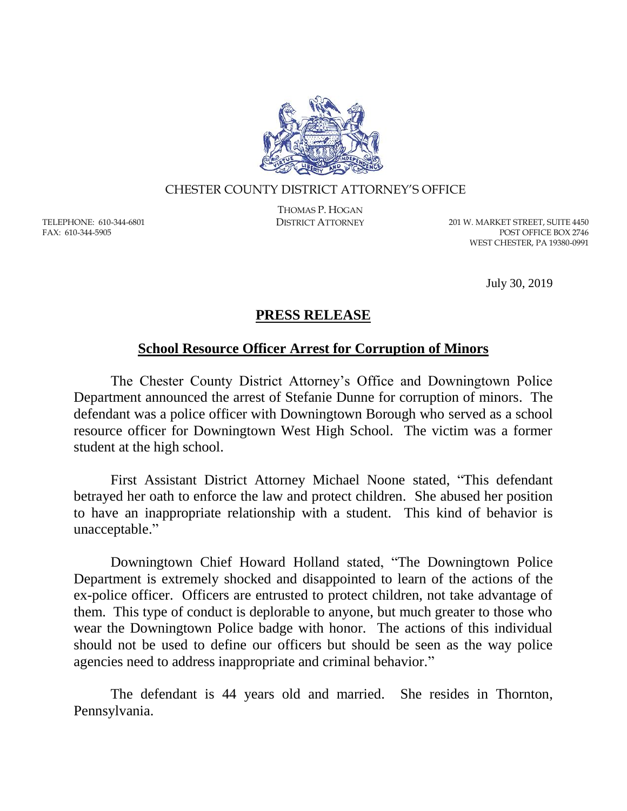

## CHESTER COUNTY DISTRICT ATTORNEY'S OFFICE

TELEPHONE: 610-344-6801 FAX: 610-344-5905

THOMAS P. HOGAN

DISTRICT ATTORNEY 201 W. MARKET STREET, SUITE 4450 POST OFFICE BOX 2746 WEST CHESTER, PA 19380-0991

July 30, 2019

## **PRESS RELEASE**

## **School Resource Officer Arrest for Corruption of Minors**

The Chester County District Attorney's Office and Downingtown Police Department announced the arrest of Stefanie Dunne for corruption of minors. The defendant was a police officer with Downingtown Borough who served as a school resource officer for Downingtown West High School. The victim was a former student at the high school.

First Assistant District Attorney Michael Noone stated, "This defendant betrayed her oath to enforce the law and protect children. She abused her position to have an inappropriate relationship with a student. This kind of behavior is unacceptable."

Downingtown Chief Howard Holland stated, "The Downingtown Police Department is extremely shocked and disappointed to learn of the actions of the ex-police officer. Officers are entrusted to protect children, not take advantage of them. This type of conduct is deplorable to anyone, but much greater to those who wear the Downingtown Police badge with honor. The actions of this individual should not be used to define our officers but should be seen as the way police agencies need to address inappropriate and criminal behavior."

The defendant is 44 years old and married. She resides in Thornton, Pennsylvania.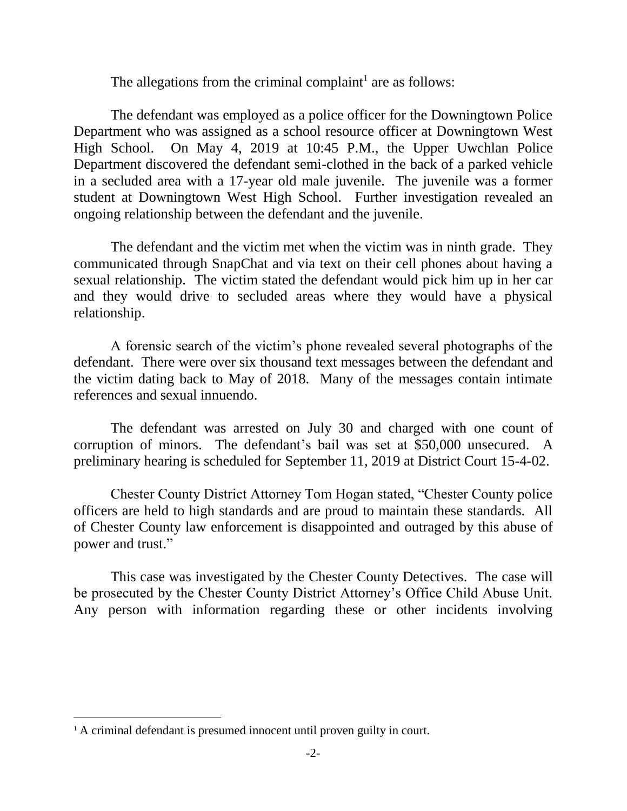The allegations from the criminal complaint<sup>1</sup> are as follows:

The defendant was employed as a police officer for the Downingtown Police Department who was assigned as a school resource officer at Downingtown West High School. On May 4, 2019 at 10:45 P.M., the Upper Uwchlan Police Department discovered the defendant semi-clothed in the back of a parked vehicle in a secluded area with a 17-year old male juvenile. The juvenile was a former student at Downingtown West High School. Further investigation revealed an ongoing relationship between the defendant and the juvenile.

The defendant and the victim met when the victim was in ninth grade. They communicated through SnapChat and via text on their cell phones about having a sexual relationship. The victim stated the defendant would pick him up in her car and they would drive to secluded areas where they would have a physical relationship.

A forensic search of the victim's phone revealed several photographs of the defendant. There were over six thousand text messages between the defendant and the victim dating back to May of 2018. Many of the messages contain intimate references and sexual innuendo.

The defendant was arrested on July 30 and charged with one count of corruption of minors. The defendant's bail was set at \$50,000 unsecured. A preliminary hearing is scheduled for September 11, 2019 at District Court 15-4-02.

Chester County District Attorney Tom Hogan stated, "Chester County police officers are held to high standards and are proud to maintain these standards. All of Chester County law enforcement is disappointed and outraged by this abuse of power and trust."

This case was investigated by the Chester County Detectives. The case will be prosecuted by the Chester County District Attorney's Office Child Abuse Unit. Any person with information regarding these or other incidents involving

 $\overline{a}$ 

<sup>&</sup>lt;sup>1</sup> A criminal defendant is presumed innocent until proven guilty in court.